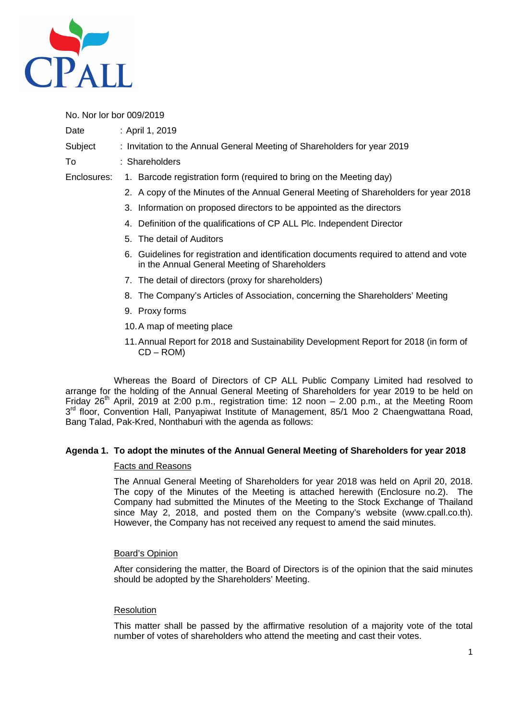

No. Nor lor bor 009/2019

Date : April 1, 2019

# Subject : Invitation to the Annual General Meeting of Shareholders for year 2019

- To : Shareholders
- Enclosures: 1. Barcode registration form (required to bring on the Meeting day)
	- 2. A copy of the Minutes of the Annual General Meeting of Shareholders for year 2018
	- 3. Information on proposed directors to be appointed as the directors
	- 4. Definition of the qualifications of CP ALL Plc. Independent Director
	- 5. The detail of Auditors
	- 6. Guidelines for registration and identification documents required to attend and vote in the Annual General Meeting of Shareholders
	- 7. The detail of directors (proxy for shareholders)
	- 8. The Company's Articles of Association, concerning the Shareholders' Meeting
	- 9. Proxy forms
	- 10. A map of meeting place
	- 11. Annual Report for 2018 and Sustainability Development Report for 2018 (in form of CD – ROM)

Whereas the Board of Directors of CP ALL Public Company Limited had resolved to arrange for the holding of the Annual General Meeting of Shareholders for year 2019 to be held on Friday  $26<sup>th</sup>$  April, 2019 at 2:00 p.m., registration time: 12 noon – 2.00 p.m., at the Meeting Room 3<sup>rd</sup> floor, Convention Hall, Panyapiwat Institute of Management, 85/1 Moo 2 Chaengwattana Road, Bang Talad, Pak-Kred, Nonthaburi with the agenda as follows:

# **Agenda 1. To adopt the minutes of the Annual General Meeting of Shareholders for year 2018**

### Facts and Reasons

The Annual General Meeting of Shareholders for year 2018 was held on April 20, 2018. The copy of the Minutes of the Meeting is attached herewith (Enclosure no.2). The Company had submitted the Minutes of the Meeting to the Stock Exchange of Thailand since May 2, 2018, and posted them on the Company's website (www.cpall.co.th). However, the Company has not received any request to amend the said minutes.

### Board's Opinion

After considering the matter, the Board of Directors is of the opinion that the said minutes should be adopted by the Shareholders' Meeting.

### **Resolution**

This matter shall be passed by the affirmative resolution of a majority vote of the total number of votes of shareholders who attend the meeting and cast their votes.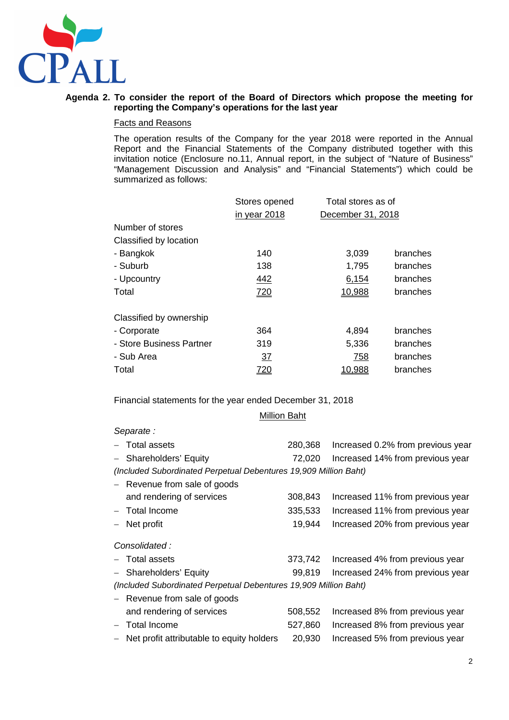

## **Agenda 2. To consider the report of the Board of Directors which propose the meeting for reporting the Company's operations for the last year**

#### Facts and Reasons

The operation results of the Company for the year 2018 were reported in the Annual Report and the Financial Statements of the Company distributed together with this invitation notice (Enclosure no.11, Annual report, in the subject of "Nature of Business" "Management Discussion and Analysis" and "Financial Statements") which could be summarized as follows:

| Stores opened |        |                                         |
|---------------|--------|-----------------------------------------|
| in year 2018  |        |                                         |
|               |        |                                         |
|               |        |                                         |
| 140           | 3,039  | <b>branches</b>                         |
| 138           | 1,795  | <b>branches</b>                         |
| 442           | 6,154  | branches                                |
| 720           | 10,988 | <b>branches</b>                         |
|               |        |                                         |
| 364           | 4,894  | <b>branches</b>                         |
| 319           | 5,336  | <b>branches</b>                         |
| <u>37</u>     | 758    | branches                                |
| <u>720</u>    | 10,988 | <b>branches</b>                         |
|               |        | Total stores as of<br>December 31, 2018 |

Financial statements for the year ended December 31, 2018

## Million Baht

#### Separate :

| - Total assets                                                   | 280,368 | Increased 0.2% from previous year       |
|------------------------------------------------------------------|---------|-----------------------------------------|
| - Shareholders' Equity                                           | 72,020  | Increased 14% from previous year        |
| (Included Subordinated Perpetual Debentures 19,909 Million Baht) |         |                                         |
| - Revenue from sale of goods                                     |         |                                         |
| and rendering of services                                        | 308,843 | Increased 11% from previous year        |
| - Total Income                                                   | 335,533 | Increased 11% from previous year        |
| - Net profit                                                     | 19,944  | Increased 20% from previous year        |
| Consolidated:                                                    |         |                                         |
| - Total assets                                                   |         | 373,742 Increased 4% from previous year |
| - Shareholders' Equity                                           | 99,819  | Increased 24% from previous year        |
| (Included Subordinated Perpetual Debentures 19,909 Million Baht) |         |                                         |
| - Revenue from sale of goods                                     |         |                                         |
| and rendering of services                                        | 508,552 | Increased 8% from previous year         |
|                                                                  |         |                                         |

− Total Income 527,860 Increased 8% from previous year − Net profit attributable to equity holders 20,930 Increased 5% from previous year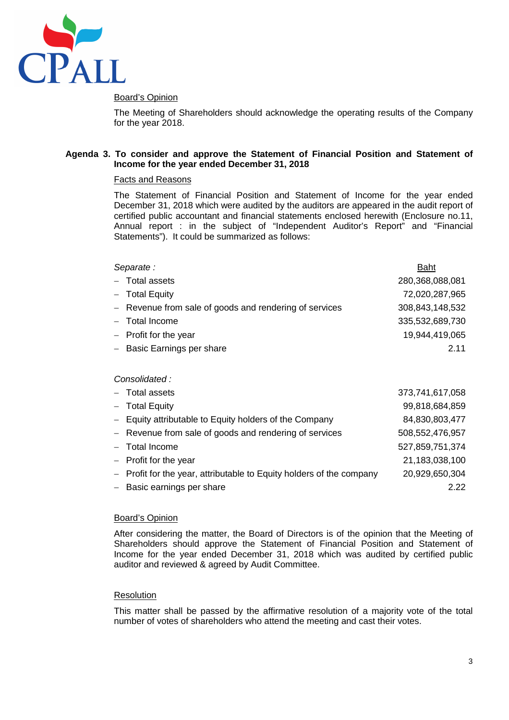

## Board's Opinion

The Meeting of Shareholders should acknowledge the operating results of the Company for the year 2018.

### **Agenda 3. To consider and approve the Statement of Financial Position and Statement of Income for the year ended December 31, 2018**

#### Facts and Reasons

The Statement of Financial Position and Statement of Income for the year ended December 31, 2018 which were audited by the auditors are appeared in the audit report of certified public accountant and financial statements enclosed herewith (Enclosure no.11, Annual report : in the subject of "Independent Auditor's Report" and "Financial Statements"). It could be summarized as follows:

| Separate:                                                            | <b>Baht</b>     |
|----------------------------------------------------------------------|-----------------|
| - Total assets                                                       | 280,368,088,081 |
| - Total Equity                                                       | 72,020,287,965  |
| - Revenue from sale of goods and rendering of services               | 308,843,148,532 |
| - Total Income                                                       | 335,532,689,730 |
| $-$ Profit for the year                                              | 19,944,419,065  |
| - Basic Earnings per share                                           | 2.11            |
|                                                                      |                 |
| Consolidated:                                                        |                 |
| - Total assets                                                       | 373,741,617,058 |
| - Total Equity                                                       | 99,818,684,859  |
| - Equity attributable to Equity holders of the Company               | 84,830,803,477  |
| - Revenue from sale of goods and rendering of services               | 508,552,476,957 |
| Total Income                                                         | 527,859,751,374 |
| $-$ Profit for the year                                              | 21,183,038,100  |
| - Profit for the year, attributable to Equity holders of the company | 20,929,650,304  |
| - Basic earnings per share                                           | 2.22            |

### Board's Opinion

After considering the matter, the Board of Directors is of the opinion that the Meeting of Shareholders should approve the Statement of Financial Position and Statement of Income for the year ended December 31, 2018 which was audited by certified public auditor and reviewed & agreed by Audit Committee.

### **Resolution**

This matter shall be passed by the affirmative resolution of a majority vote of the total number of votes of shareholders who attend the meeting and cast their votes.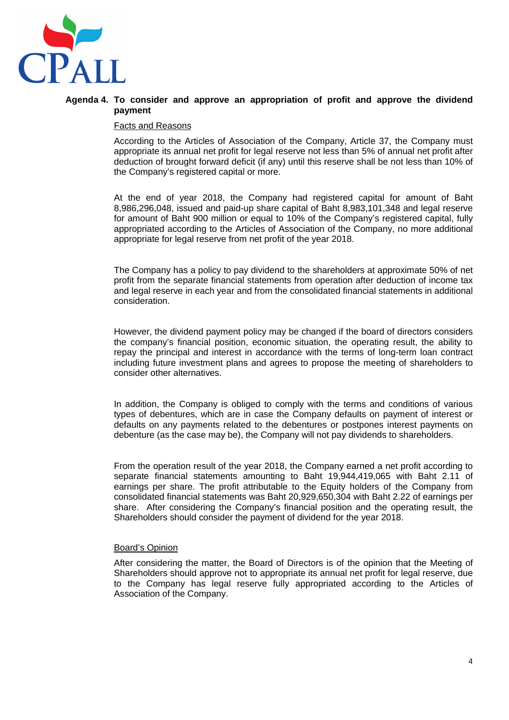

### **Agenda 4. To consider and approve an appropriation of profit and approve the dividend payment**

#### Facts and Reasons

According to the Articles of Association of the Company, Article 37, the Company must appropriate its annual net profit for legal reserve not less than 5% of annual net profit after deduction of brought forward deficit (if any) until this reserve shall be not less than 10% of the Company's registered capital or more.

At the end of year 2018, the Company had registered capital for amount of Baht 8,986,296,048, issued and paid-up share capital of Baht 8,983,101,348 and legal reserve for amount of Baht 900 million or equal to 10% of the Company's registered capital, fully appropriated according to the Articles of Association of the Company, no more additional appropriate for legal reserve from net profit of the year 2018.

The Company has a policy to pay dividend to the shareholders at approximate 50% of net profit from the separate financial statements from operation after deduction of income tax and legal reserve in each year and from the consolidated financial statements in additional consideration.

However, the dividend payment policy may be changed if the board of directors considers the company's financial position, economic situation, the operating result, the ability to repay the principal and interest in accordance with the terms of long-term loan contract including future investment plans and agrees to propose the meeting of shareholders to consider other alternatives.

In addition, the Company is obliged to comply with the terms and conditions of various types of debentures, which are in case the Company defaults on payment of interest or defaults on any payments related to the debentures or postpones interest payments on debenture (as the case may be), the Company will not pay dividends to shareholders.

From the operation result of the year 2018, the Company earned a net profit according to separate financial statements amounting to Baht 19,944,419,065 with Baht 2.11 of earnings per share. The profit attributable to the Equity holders of the Company from consolidated financial statements was Baht 20,929,650,304 with Baht 2.22 of earnings per share. After considering the Company's financial position and the operating result, the Shareholders should consider the payment of dividend for the year 2018.

#### Board's Opinion

After considering the matter, the Board of Directors is of the opinion that the Meeting of Shareholders should approve not to appropriate its annual net profit for legal reserve, due to the Company has legal reserve fully appropriated according to the Articles of Association of the Company.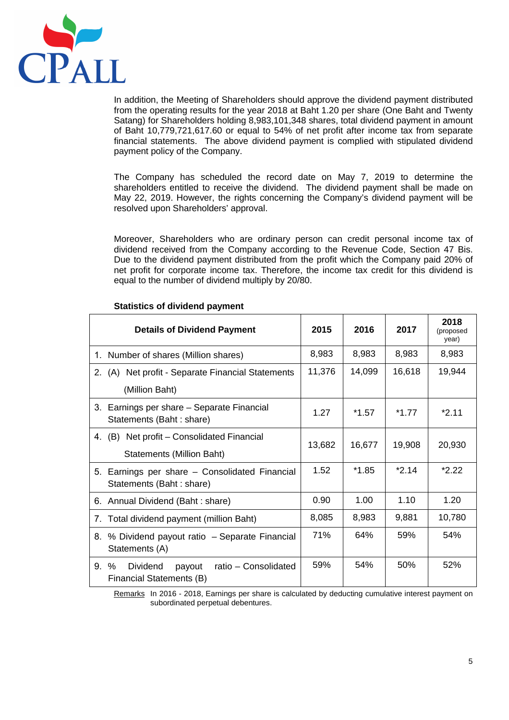

In addition, the Meeting of Shareholders should approve the dividend payment distributed from the operating results for the year 2018 at Baht 1.20 per share (One Baht and Twenty Satang) for Shareholders holding 8,983,101,348 shares, total dividend payment in amount of Baht 10,779,721,617.60 or equal to 54% of net profit after income tax from separate financial statements. The above dividend payment is complied with stipulated dividend payment policy of the Company.

The Company has scheduled the record date on May 7, 2019 to determine the shareholders entitled to receive the dividend. The dividend payment shall be made on May 22, 2019. However, the rights concerning the Company's dividend payment will be resolved upon Shareholders' approval.

Moreover, Shareholders who are ordinary person can credit personal income tax of dividend received from the Company according to the Revenue Code, Section 47 Bis. Due to the dividend payment distributed from the profit which the Company paid 20% of net profit for corporate income tax. Therefore, the income tax credit for this dividend is equal to the number of dividend multiply by 20/80.

| <b>Details of Dividend Payment</b>                                                | 2015   | 2016    | 2017    | 2018<br>(proposed<br>year) |
|-----------------------------------------------------------------------------------|--------|---------|---------|----------------------------|
| 1. Number of shares (Million shares)                                              | 8,983  | 8,983   | 8,983   | 8,983                      |
| 2. (A) Net profit - Separate Financial Statements                                 | 11,376 | 14,099  | 16,618  | 19,944                     |
| (Million Baht)                                                                    |        |         |         |                            |
| 3. Earnings per share - Separate Financial<br>Statements (Baht: share)            | 1.27   | $*1.57$ | *1 77   | $*211$                     |
| 4. (B) Net profit – Consolidated Financial                                        | 13,682 | 16,677  | 19,908  | 20,930                     |
| <b>Statements (Million Baht)</b>                                                  |        |         |         |                            |
| 5. Earnings per share - Consolidated Financial<br>Statements (Baht: share)        | 1.52   | $*1.85$ | $*2.14$ | $*2.22$                    |
| 6. Annual Dividend (Baht: share)                                                  | 0.90   | 1.00    | 1.10    | 1.20                       |
| Total dividend payment (million Baht)<br>7.                                       | 8,085  | 8,983   | 9,881   | 10,780                     |
| 8. % Dividend payout ratio - Separate Financial<br>Statements (A)                 | 71%    | 64%     | 59%     | 54%                        |
| $9. \%$<br>Dividend<br>ratio - Consolidated<br>payout<br>Financial Statements (B) | 59%    | 54%     | 50%     | 52%                        |

## **Statistics of dividend payment**

Remarks In 2016 - 2018, Earnings per share is calculated by deducting cumulative interest payment on subordinated perpetual debentures.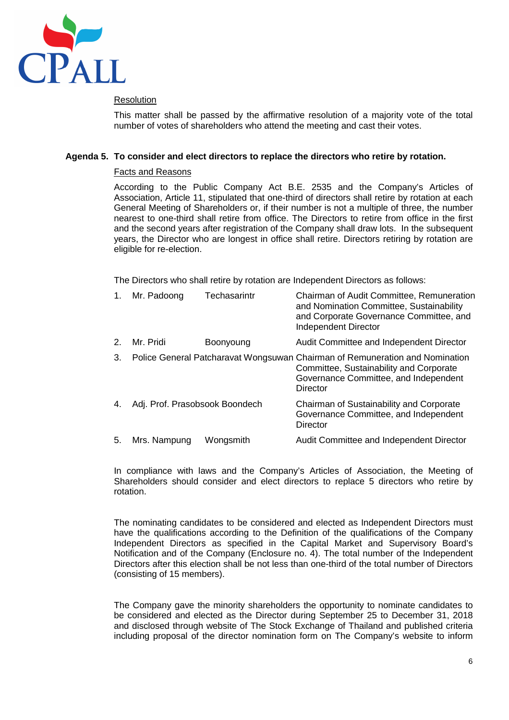

## Resolution

This matter shall be passed by the affirmative resolution of a majority vote of the total number of votes of shareholders who attend the meeting and cast their votes.

## **Agenda 5. To consider and elect directors to replace the directors who retire by rotation.**

### Facts and Reasons

According to the Public Company Act B.E. 2535 and the Company's Articles of Association, Article 11, stipulated that one-third of directors shall retire by rotation at each General Meeting of Shareholders or, if their number is not a multiple of three, the number nearest to one-third shall retire from office. The Directors to retire from office in the first and the second years after registration of the Company shall draw lots. In the subsequent years, the Director who are longest in office shall retire. Directors retiring by rotation are eligible for re-election.

The Directors who shall retire by rotation are Independent Directors as follows:

| 1. | Mr. Padoong                    | Techasarintr | Chairman of Audit Committee, Remuneration<br>and Nomination Committee, Sustainability<br>and Corporate Governance Committee, and<br><b>Independent Director</b>              |
|----|--------------------------------|--------------|------------------------------------------------------------------------------------------------------------------------------------------------------------------------------|
| 2. | Mr. Pridi                      | Boonyoung    | Audit Committee and Independent Director                                                                                                                                     |
| 3. |                                |              | Police General Patcharavat Wongsuwan Chairman of Remuneration and Nomination<br>Committee, Sustainability and Corporate<br>Governance Committee, and Independent<br>Director |
| 4. | Adj. Prof. Prasobsook Boondech |              | Chairman of Sustainability and Corporate<br>Governance Committee, and Independent<br><b>Director</b>                                                                         |
| 5. | Mrs. Nampung                   | Wongsmith    | Audit Committee and Independent Director                                                                                                                                     |

In compliance with laws and the Company's Articles of Association, the Meeting of Shareholders should consider and elect directors to replace 5 directors who retire by rotation.

The nominating candidates to be considered and elected as Independent Directors must have the qualifications according to the Definition of the qualifications of the Company Independent Directors as specified in the Capital Market and Supervisory Board's Notification and of the Company (Enclosure no. 4). The total number of the Independent Directors after this election shall be not less than one-third of the total number of Directors (consisting of 15 members).

The Company gave the minority shareholders the opportunity to nominate candidates to be considered and elected as the Director during September 25 to December 31, 2018 and disclosed through website of The Stock Exchange of Thailand and published criteria including proposal of the director nomination form on The Company's website to inform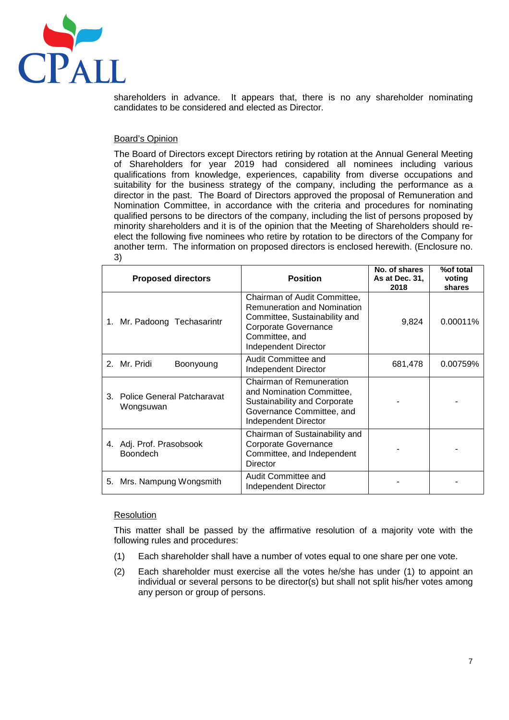

shareholders in advance. It appears that, there is no any shareholder nominating candidates to be considered and elected as Director.

### Board's Opinion

The Board of Directors except Directors retiring by rotation at the Annual General Meeting of Shareholders for year 2019 had considered all nominees including various qualifications from knowledge, experiences, capability from diverse occupations and suitability for the business strategy of the company, including the performance as a director in the past. The Board of Directors approved the proposal of Remuneration and Nomination Committee, in accordance with the criteria and procedures for nominating qualified persons to be directors of the company, including the list of persons proposed by minority shareholders and it is of the opinion that the Meeting of Shareholders should reelect the following five nominees who retire by rotation to be directors of the Company for another term. The information on proposed directors is enclosed herewith. (Enclosure no. 3)

|                                                                                                                                                        | <b>Proposed directors</b> | <b>Position</b>                                                                                                                                                              | No. of shares<br>As at Dec. 31,<br>2018 | %of total<br>voting<br>shares |
|--------------------------------------------------------------------------------------------------------------------------------------------------------|---------------------------|------------------------------------------------------------------------------------------------------------------------------------------------------------------------------|-----------------------------------------|-------------------------------|
| Mr. Padoong Techasarintr<br>1.                                                                                                                         |                           | Chairman of Audit Committee,<br><b>Remuneration and Nomination</b><br>Committee, Sustainability and<br>Corporate Governance<br>Committee, and<br><b>Independent Director</b> | 9,824                                   | 0.00011%                      |
|                                                                                                                                                        | 2. Mr. Pridi<br>Boonyoung | Audit Committee and<br><b>Independent Director</b>                                                                                                                           | 681,478                                 | 0.00759%                      |
| <b>Police General Patcharavat</b><br>3.<br>Wongsuwan                                                                                                   |                           | Chairman of Remuneration<br>and Nomination Committee,<br>Sustainability and Corporate<br>Governance Committee, and<br>Independent Director                                   |                                         |                               |
| Chairman of Sustainability and<br><b>Corporate Governance</b><br>4. Adj. Prof. Prasobsook<br><b>Boondech</b><br>Committee, and Independent<br>Director |                           |                                                                                                                                                                              |                                         |                               |
| 5.                                                                                                                                                     | Mrs. Nampung Wongsmith    | Audit Committee and<br>Independent Director                                                                                                                                  |                                         |                               |

#### Resolution

This matter shall be passed by the affirmative resolution of a majority vote with the following rules and procedures:

- (1) Each shareholder shall have a number of votes equal to one share per one vote.
- (2) Each shareholder must exercise all the votes he/she has under (1) to appoint an individual or several persons to be director(s) but shall not split his/her votes among any person or group of persons.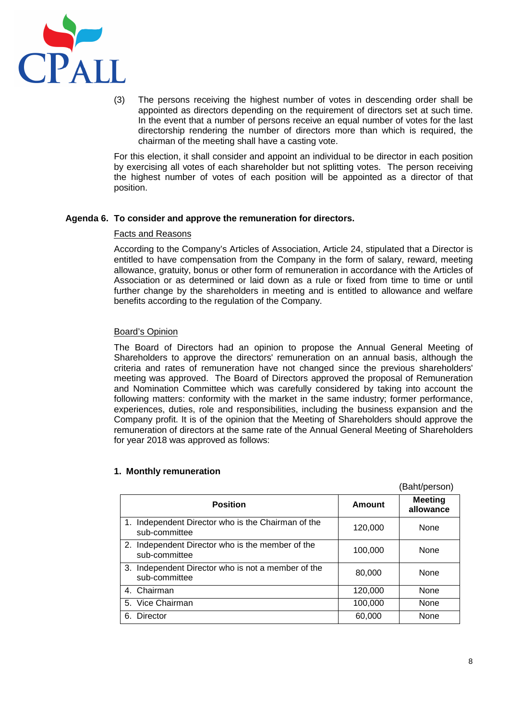

(3) The persons receiving the highest number of votes in descending order shall be appointed as directors depending on the requirement of directors set at such time. In the event that a number of persons receive an equal number of votes for the last directorship rendering the number of directors more than which is required, the chairman of the meeting shall have a casting vote.

For this election, it shall consider and appoint an individual to be director in each position by exercising all votes of each shareholder but not splitting votes. The person receiving the highest number of votes of each position will be appointed as a director of that position.

### **Agenda 6. To consider and approve the remuneration for directors.**

### Facts and Reasons

According to the Company's Articles of Association, Article 24, stipulated that a Director is entitled to have compensation from the Company in the form of salary, reward, meeting allowance, gratuity, bonus or other form of remuneration in accordance with the Articles of Association or as determined or laid down as a rule or fixed from time to time or until further change by the shareholders in meeting and is entitled to allowance and welfare benefits according to the regulation of the Company.

## Board's Opinion

The Board of Directors had an opinion to propose the Annual General Meeting of Shareholders to approve the directors' remuneration on an annual basis, although the criteria and rates of remuneration have not changed since the previous shareholders' meeting was approved. The Board of Directors approved the proposal of Remuneration and Nomination Committee which was carefully considered by taking into account the following matters: conformity with the market in the same industry; former performance, experiences, duties, role and responsibilities, including the business expansion and the Company profit. It is of the opinion that the Meeting of Shareholders should approve the remuneration of directors at the same rate of the Annual General Meeting of Shareholders for year 2018 was approved as follows:

|                                                                     |         | PQ(1 0 1 0 1 1)             |
|---------------------------------------------------------------------|---------|-----------------------------|
| <b>Position</b>                                                     | Amount  | <b>Meeting</b><br>allowance |
| 1. Independent Director who is the Chairman of the<br>sub-committee | 120,000 | None                        |
| 2. Independent Director who is the member of the<br>sub-committee   | 100,000 | None                        |
| 3. Independent Director who is not a member of the<br>sub-committee | 80,000  | None                        |
| 4. Chairman                                                         | 120,000 | None                        |
| 5. Vice Chairman                                                    | 100,000 | None                        |
| 6. Director                                                         | 60,000  | None                        |

### **1. Monthly remuneration**

(Baht/person)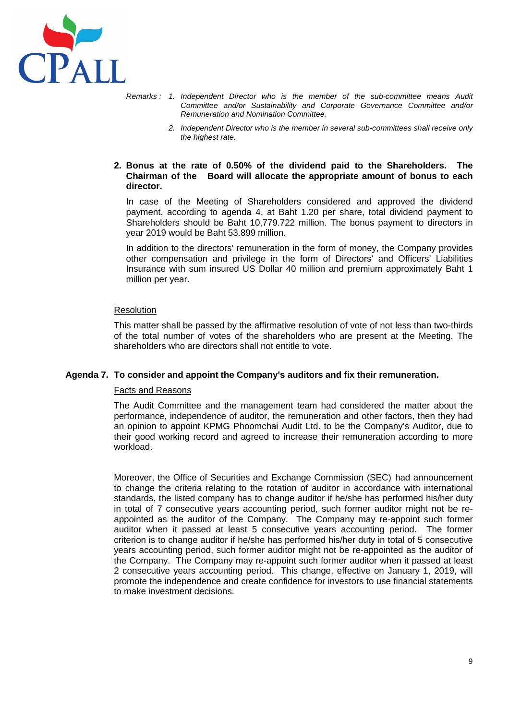

- Remarks : 1. Independent Director who is the member of the sub-committee means Audit Committee and/or Sustainability and Corporate Governance Committee and/or Remuneration and Nomination Committee.
	- 2. Independent Director who is the member in several sub-committees shall receive only the highest rate.

### **2. Bonus at the rate of 0.50% of the dividend paid to the Shareholders. The Chairman of the Board will allocate the appropriate amount of bonus to each director.**

In case of the Meeting of Shareholders considered and approved the dividend payment, according to agenda 4, at Baht 1.20 per share, total dividend payment to Shareholders should be Baht 10,779.722 million. The bonus payment to directors in year 2019 would be Baht 53.899 million.

In addition to the directors' remuneration in the form of money, the Company provides other compensation and privilege in the form of Directors' and Officers' Liabilities Insurance with sum insured US Dollar 40 million and premium approximately Baht 1 million per year.

#### Resolution

This matter shall be passed by the affirmative resolution of vote of not less than two-thirds of the total number of votes of the shareholders who are present at the Meeting. The shareholders who are directors shall not entitle to vote.

### **Agenda 7. To consider and appoint the Company's auditors and fix their remuneration.**

#### Facts and Reasons

The Audit Committee and the management team had considered the matter about the performance, independence of auditor, the remuneration and other factors, then they had an opinion to appoint KPMG Phoomchai Audit Ltd. to be the Company's Auditor, due to their good working record and agreed to increase their remuneration according to more workload.

Moreover, the Office of Securities and Exchange Commission (SEC) had announcement to change the criteria relating to the rotation of auditor in accordance with international standards, the listed company has to change auditor if he/she has performed his/her duty in total of 7 consecutive years accounting period, such former auditor might not be reappointed as the auditor of the Company. The Company may re-appoint such former auditor when it passed at least 5 consecutive years accounting period. The former criterion is to change auditor if he/she has performed his/her duty in total of 5 consecutive years accounting period, such former auditor might not be re-appointed as the auditor of the Company. The Company may re-appoint such former auditor when it passed at least 2 consecutive years accounting period. This change, effective on January 1, 2019, will promote the independence and create confidence for investors to use financial statements to make investment decisions.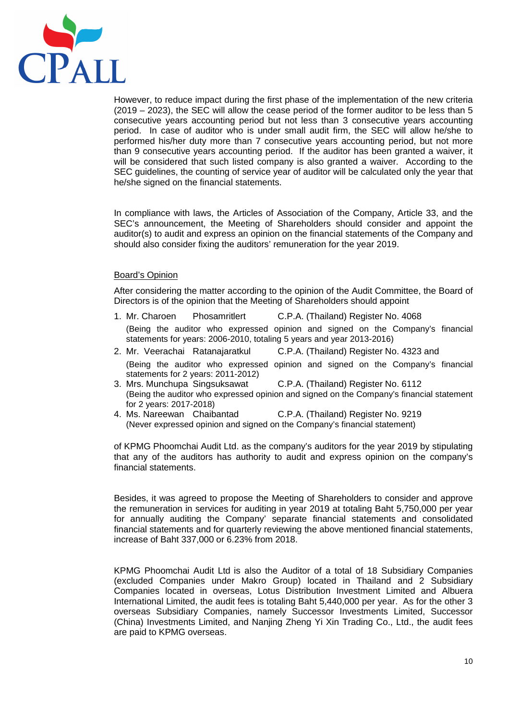

However, to reduce impact during the first phase of the implementation of the new criteria (2019 – 2023), the SEC will allow the cease period of the former auditor to be less than 5 consecutive years accounting period but not less than 3 consecutive years accounting period. In case of auditor who is under small audit firm, the SEC will allow he/she to performed his/her duty more than 7 consecutive years accounting period, but not more than 9 consecutive years accounting period. If the auditor has been granted a waiver, it will be considered that such listed company is also granted a waiver. According to the SEC guidelines, the counting of service year of auditor will be calculated only the year that he/she signed on the financial statements.

In compliance with laws, the Articles of Association of the Company, Article 33, and the SEC's announcement, the Meeting of Shareholders should consider and appoint the auditor(s) to audit and express an opinion on the financial statements of the Company and should also consider fixing the auditors' remuneration for the year 2019.

### Board's Opinion

After considering the matter according to the opinion of the Audit Committee, the Board of Directors is of the opinion that the Meeting of Shareholders should appoint

- 1. Mr. Charoen Phosamritlert C.P.A. (Thailand) Register No. 4068 (Being the auditor who expressed opinion and signed on the Company's financial statements for years: 2006-2010, totaling 5 years and year 2013-2016)
- 2. Mr. Veerachai Ratanajaratkul C.P.A. (Thailand) Register No. 4323 and (Being the auditor who expressed opinion and signed on the Company's financial statements for 2 years: 2011-2012)
- 3. Mrs. Munchupa Singsuksawat C.P.A. (Thailand) Register No. 6112 (Being the auditor who expressed opinion and signed on the Company's financial statement for 2 years: 2017-2018)
- 4. Ms. Nareewan Chaibantad C.P.A. (Thailand) Register No. 9219 (Never expressed opinion and signed on the Company's financial statement)

of KPMG Phoomchai Audit Ltd. as the company's auditors for the year 2019 by stipulating that any of the auditors has authority to audit and express opinion on the company's financial statements.

Besides, it was agreed to propose the Meeting of Shareholders to consider and approve the remuneration in services for auditing in year 2019 at totaling Baht 5,750,000 per year for annually auditing the Company' separate financial statements and consolidated financial statements and for quarterly reviewing the above mentioned financial statements, increase of Baht 337,000 or 6.23% from 2018.

KPMG Phoomchai Audit Ltd is also the Auditor of a total of 18 Subsidiary Companies (excluded Companies under Makro Group) located in Thailand and 2 Subsidiary Companies located in overseas, Lotus Distribution Investment Limited and Albuera International Limited, the audit fees is totaling Baht 5,440,000 per year. As for the other 3 overseas Subsidiary Companies, namely Successor Investments Limited, Successor (China) Investments Limited, and Nanjing Zheng Yi Xin Trading Co., Ltd., the audit fees are paid to KPMG overseas.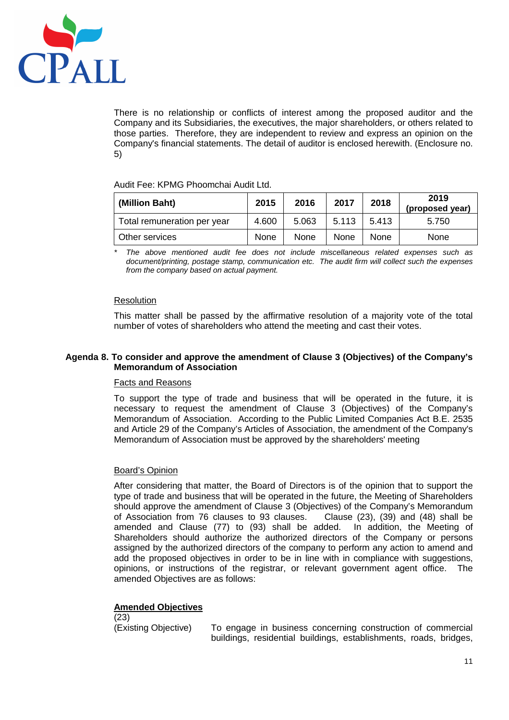

There is no relationship or conflicts of interest among the proposed auditor and the Company and its Subsidiaries, the executives, the major shareholders, or others related to those parties. Therefore, they are independent to review and express an opinion on the Company's financial statements. The detail of auditor is enclosed herewith. (Enclosure no. 5)

Audit Fee: KPMG Phoomchai Audit Ltd.

| (Million Baht)              | 2015  | 2016  | 2017        | 2018        | 2019<br>(proposed year) |
|-----------------------------|-------|-------|-------------|-------------|-------------------------|
| Total remuneration per year | 4.600 | 5.063 | 5.113       | 5.413       | 5.750                   |
| Other services              | None  | None  | <b>None</b> | <b>None</b> | None                    |

The above mentioned audit fee does not include miscellaneous related expenses such as document/printing, postage stamp, communication etc. The audit firm will collect such the expenses from the company based on actual payment.

## Resolution

This matter shall be passed by the affirmative resolution of a majority vote of the total number of votes of shareholders who attend the meeting and cast their votes.

### **Agenda 8. To consider and approve the amendment of Clause 3 (Objectives) of the Company's Memorandum of Association**

### Facts and Reasons

To support the type of trade and business that will be operated in the future, it is necessary to request the amendment of Clause 3 (Objectives) of the Company's Memorandum of Association. According to the Public Limited Companies Act B.E. 2535 and Article 29 of the Company's Articles of Association, the amendment of the Company's Memorandum of Association must be approved by the shareholders' meeting

# Board's Opinion

After considering that matter, the Board of Directors is of the opinion that to support the type of trade and business that will be operated in the future, the Meeting of Shareholders should approve the amendment of Clause 3 (Objectives) of the Company's Memorandum of Association from 76 clauses to 93 clauses. Clause (23), (39) and (48) shall be amended and Clause (77) to (93) shall be added. In addition, the Meeting of Shareholders should authorize the authorized directors of the Company or persons assigned by the authorized directors of the company to perform any action to amend and add the proposed objectives in order to be in line with in compliance with suggestions, opinions, or instructions of the registrar, or relevant government agent office. The amended Objectives are as follows:

# **Amended Objectives**

(23)

(Existing Objective) To engage in business concerning construction of commercial buildings, residential buildings, establishments, roads, bridges,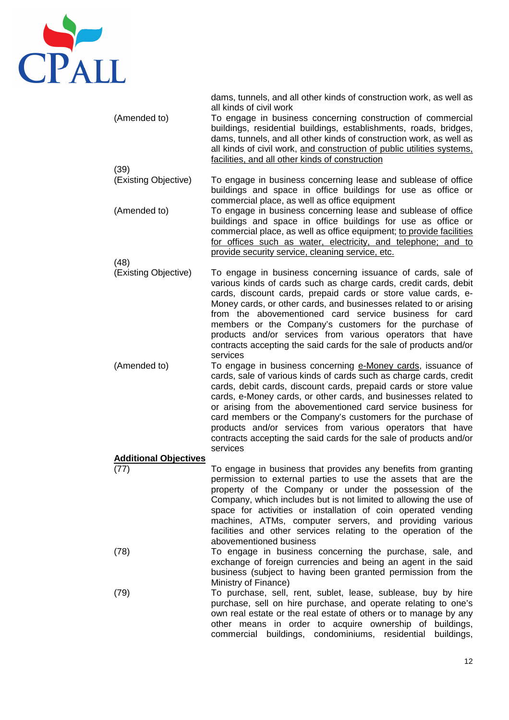

dams, tunnels, and all other kinds of construction work, as well as all kinds of civil work (Amended to) To engage in business concerning construction of commercial buildings, residential buildings, establishments, roads, bridges, dams, tunnels, and all other kinds of construction work, as well as all kinds of civil work, and construction of public utilities systems, facilities, and all other kinds of construction (39) (Existing Objective) To engage in business concerning lease and sublease of office buildings and space in office buildings for use as office or commercial place, as well as office equipment (Amended to) To engage in business concerning lease and sublease of office buildings and space in office buildings for use as office or commercial place, as well as office equipment; to provide facilities for offices such as water, electricity, and telephone; and to provide security service, cleaning service, etc. (48) (Existing Objective) To engage in business concerning issuance of cards, sale of

various kinds of cards such as charge cards, credit cards, debit cards, discount cards, prepaid cards or store value cards, e-Money cards, or other cards, and businesses related to or arising from the abovementioned card service business for card members or the Company's customers for the purchase of products and/or services from various operators that have contracts accepting the said cards for the sale of products and/or services

(Amended to) To engage in business concerning e-Money cards, issuance of cards, sale of various kinds of cards such as charge cards, credit cards, debit cards, discount cards, prepaid cards or store value cards, e-Money cards, or other cards, and businesses related to or arising from the abovementioned card service business for card members or the Company's customers for the purchase of products and/or services from various operators that have contracts accepting the said cards for the sale of products and/or services

### **Additional Objectives**

- (77) To engage in business that provides any benefits from granting permission to external parties to use the assets that are the property of the Company or under the possession of the Company, which includes but is not limited to allowing the use of space for activities or installation of coin operated vending machines, ATMs, computer servers, and providing various facilities and other services relating to the operation of the abovementioned business
- (78) To engage in business concerning the purchase, sale, and exchange of foreign currencies and being an agent in the said business (subject to having been granted permission from the Ministry of Finance)
- (79) To purchase, sell, rent, sublet, lease, sublease, buy by hire purchase, sell on hire purchase, and operate relating to one's own real estate or the real estate of others or to manage by any other means in order to acquire ownership of buildings, commercial buildings, condominiums, residential buildings,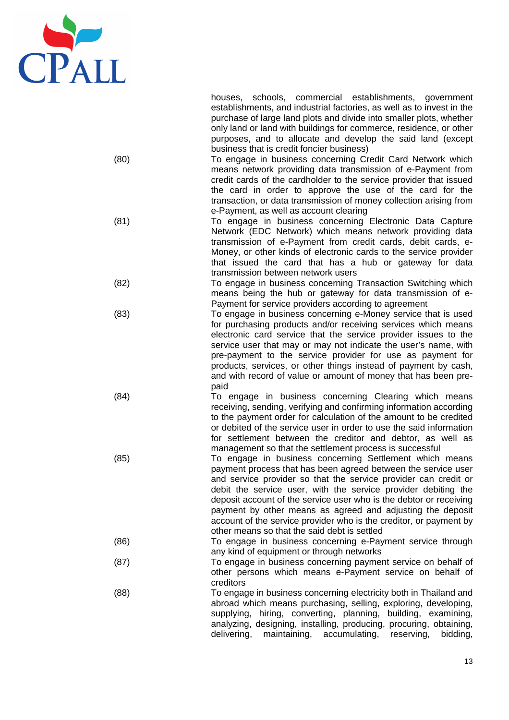

houses, schools, commercial establishments, government establishments, and industrial factories, as well as to invest in the purchase of large land plots and divide into smaller plots, whether only land or land with buildings for commerce, residence, or other purposes, and to allocate and develop the said land (except business that is credit foncier business)

- (80) To engage in business concerning Credit Card Network which means network providing data transmission of e-Payment from credit cards of the cardholder to the service provider that issued the card in order to approve the use of the card for the transaction, or data transmission of money collection arising from e-Payment, as well as account clearing
- (81) To engage in business concerning Electronic Data Capture Network (EDC Network) which means network providing data transmission of e-Payment from credit cards, debit cards, e-Money, or other kinds of electronic cards to the service provider that issued the card that has a hub or gateway for data transmission between network users
- (82) To engage in business concerning Transaction Switching which means being the hub or gateway for data transmission of e-Payment for service providers according to agreement
- (83) To engage in business concerning e-Money service that is used for purchasing products and/or receiving services which means electronic card service that the service provider issues to the service user that may or may not indicate the user's name, with pre-payment to the service provider for use as payment for products, services, or other things instead of payment by cash, and with record of value or amount of money that has been prepaid
- (84) To engage in business concerning Clearing which means receiving, sending, verifying and confirming information according to the payment order for calculation of the amount to be credited or debited of the service user in order to use the said information for settlement between the creditor and debtor, as well as management so that the settlement process is successful
- (85) To engage in business concerning Settlement which means payment process that has been agreed between the service user and service provider so that the service provider can credit or debit the service user, with the service provider debiting the deposit account of the service user who is the debtor or receiving payment by other means as agreed and adjusting the deposit account of the service provider who is the creditor, or payment by other means so that the said debt is settled
- (86) To engage in business concerning e-Payment service through any kind of equipment or through networks
- (87) To engage in business concerning payment service on behalf of other persons which means e-Payment service on behalf of creditors
- (88) To engage in business concerning electricity both in Thailand and abroad which means purchasing, selling, exploring, developing, supplying, hiring, converting, planning, building, examining, analyzing, designing, installing, producing, procuring, obtaining, delivering, maintaining, accumulating, reserving, bidding,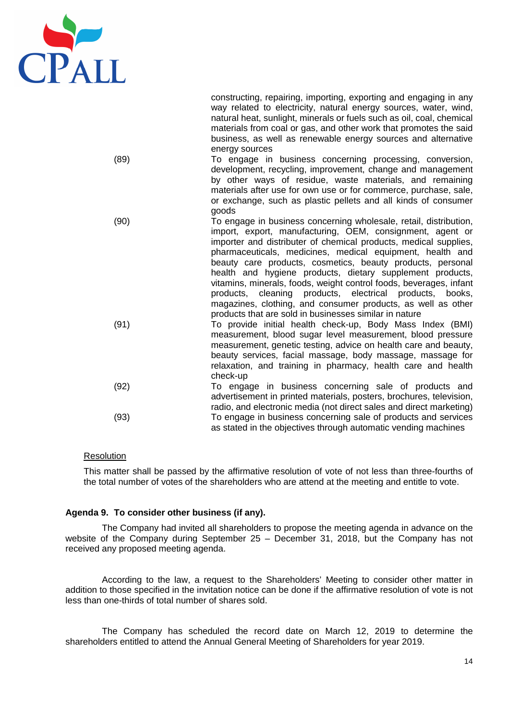

constructing, repairing, importing, exporting and engaging in any way related to electricity, natural energy sources, water, wind, natural heat, sunlight, minerals or fuels such as oil, coal, chemical materials from coal or gas, and other work that promotes the said business, as well as renewable energy sources and alternative energy sources

- (89) To engage in business concerning processing, conversion, development, recycling, improvement, change and management by other ways of residue, waste materials, and remaining materials after use for own use or for commerce, purchase, sale, or exchange, such as plastic pellets and all kinds of consumer goods
- (90) To engage in business concerning wholesale, retail, distribution, import, export, manufacturing, OEM, consignment, agent or importer and distributer of chemical products, medical supplies, pharmaceuticals, medicines, medical equipment, health and beauty care products, cosmetics, beauty products, personal health and hygiene products, dietary supplement products, vitamins, minerals, foods, weight control foods, beverages, infant products, cleaning products, electrical products, books, magazines, clothing, and consumer products, as well as other products that are sold in businesses similar in nature
	- (91) To provide initial health check-up, Body Mass Index (BMI) measurement, blood sugar level measurement, blood pressure measurement, genetic testing, advice on health care and beauty, beauty services, facial massage, body massage, massage for relaxation, and training in pharmacy, health care and health check-up
	- (92) To engage in business concerning sale of products and advertisement in printed materials, posters, brochures, television, radio, and electronic media (not direct sales and direct marketing) (93) To engage in business concerning sale of products and services as stated in the objectives through automatic vending machines

### Resolution

This matter shall be passed by the affirmative resolution of vote of not less than three-fourths of the total number of votes of the shareholders who are attend at the meeting and entitle to vote.

### **Agenda 9. To consider other business (if any).**

The Company had invited all shareholders to propose the meeting agenda in advance on the website of the Company during September 25 – December 31, 2018, but the Company has not received any proposed meeting agenda.

According to the law, a request to the Shareholders' Meeting to consider other matter in addition to those specified in the invitation notice can be done if the affirmative resolution of vote is not less than one-thirds of total number of shares sold.

The Company has scheduled the record date on March 12, 2019 to determine the shareholders entitled to attend the Annual General Meeting of Shareholders for year 2019.